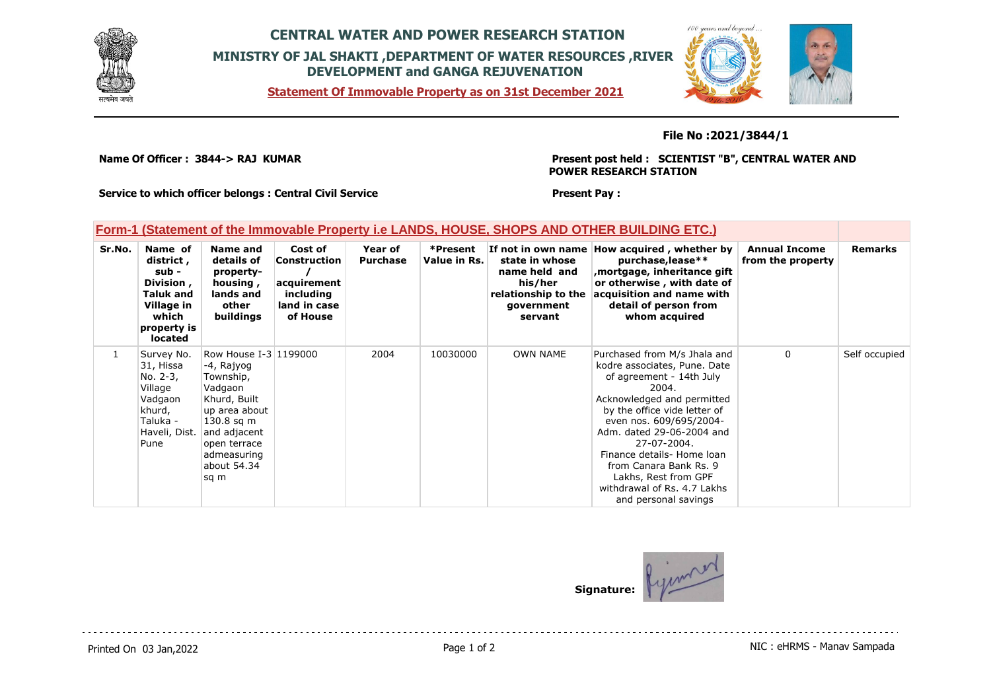

## **CENTRAL WATER AND POWER RESEARCH STATION MINISTRY OF JAL SHAKTI ,DEPARTMENT OF WATER RESOURCES ,RIVER DEVELOPMENT and GANGA REJUVENATION**

**Statement Of Immovable Property as on 31st December 2021**



## **File No :2021/3844/1**

**Name Of Officer : 3844-> RAJ KUMAR** 

**Present post held : SCIENTIST "B", CENTRAL WATER AND POWER RESEARCH STATION**

**Service to which officer belongs : Central Civil Service**

#### **Present Pay :**

## **Form-1 (Statement of the Immovable Property i.e LANDS, HOUSE, SHOPS AND OTHER BUILDING ETC.)**

| Sr.No. | Name of<br>district,<br>sub -<br>Division,<br>Taluk and<br>Village in<br>which<br>property is<br>located | Name and<br>details of<br>property-<br>housing,<br>lands and<br>other<br>buildings                                                                                                 | Cost of<br>Construction<br>acquirement<br>including<br>land in case<br>of House | Year of<br><b>Purchase</b> | *Present<br>Value in Rs. | state in whose<br>name held and<br>his/her<br>relationship to the<br>government<br>servant | If not in own name How acquired, whether by<br>purchase, lease**<br>mortgage, inheritance gift,<br>or otherwise, with date of<br>acquisition and name with<br>detail of person from<br>whom acquired                                                                                                                                                                          | <b>Annual Income</b><br>from the property | <b>Remarks</b> |
|--------|----------------------------------------------------------------------------------------------------------|------------------------------------------------------------------------------------------------------------------------------------------------------------------------------------|---------------------------------------------------------------------------------|----------------------------|--------------------------|--------------------------------------------------------------------------------------------|-------------------------------------------------------------------------------------------------------------------------------------------------------------------------------------------------------------------------------------------------------------------------------------------------------------------------------------------------------------------------------|-------------------------------------------|----------------|
|        | Survey No.<br>31, Hissa<br>No. 2-3,<br>Village<br>Vadgaon<br>khurd,<br>Taluka -<br>Haveli, Dist.<br>Pune | Row House I-3 1199000<br>-4, Rajyog<br>Township,<br>Vadgaon<br>Khurd, Built<br>up area about<br>$130.8$ sq m<br>and adjacent<br>open terrace<br>admeasuring<br>about 54.34<br>sq m |                                                                                 | 2004                       | 10030000                 | <b>OWN NAME</b>                                                                            | Purchased from M/s Jhala and<br>kodre associates, Pune. Date<br>of agreement - 14th July<br>2004.<br>Acknowledged and permitted<br>by the office vide letter of<br>even nos. 609/695/2004-<br>Adm. dated 29-06-2004 and<br>27-07-2004.<br>Finance details- Home loan<br>from Canara Bank Rs. 9<br>Lakhs, Rest from GPF<br>withdrawal of Rs. 4.7 Lakhs<br>and personal savings | $\mathbf{0}$                              | Self occupied  |